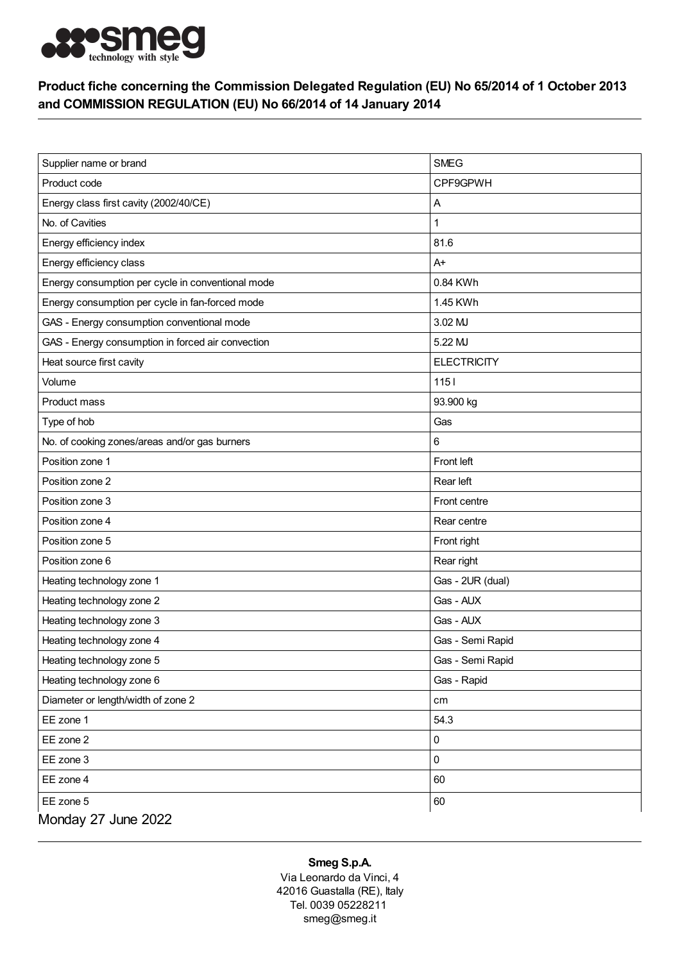

## Product fiche concerning the Commission Delegated Regulation (EU) No 65/2014 of 1 October 2013 and COMMISSION REGULATION (EU) No 66/2014 of 14 January 2014

| Supplier name or brand                            | <b>SMEG</b>        |
|---------------------------------------------------|--------------------|
| Product code                                      | CPF9GPWH           |
| Energy class first cavity (2002/40/CE)            | Α                  |
| No. of Cavities                                   | 1                  |
| Energy efficiency index                           | 81.6               |
| Energy efficiency class                           | $A+$               |
| Energy consumption per cycle in conventional mode | 0.84 KWh           |
| Energy consumption per cycle in fan-forced mode   | 1.45 KWh           |
| GAS - Energy consumption conventional mode        | 3.02 MJ            |
| GAS - Energy consumption in forced air convection | 5.22 MJ            |
| Heat source first cavity                          | <b>ELECTRICITY</b> |
| Volume                                            | $1151$             |
| Product mass                                      | 93.900 kg          |
| Type of hob                                       | Gas                |
| No. of cooking zones/areas and/or gas burners     | 6                  |
| Position zone 1                                   | Front left         |
| Position zone 2                                   | Rear left          |
| Position zone 3                                   | Front centre       |
| Position zone 4                                   | Rear centre        |
| Position zone 5                                   | Front right        |
| Position zone 6                                   | Rear right         |
| Heating technology zone 1                         | Gas - 2UR (dual)   |
| Heating technology zone 2                         | Gas - AUX          |
| Heating technology zone 3                         | Gas - AUX          |
| Heating technology zone 4                         | Gas - Semi Rapid   |
| Heating technology zone 5                         | Gas - Semi Rapid   |
| Heating technology zone 6                         | Gas - Rapid        |
| Diameter or length/width of zone 2                | cm                 |
| EE zone 1                                         | 54.3               |
| EE zone 2                                         | 0                  |
| EE zone 3                                         | 0                  |
| EE zone 4                                         | 60                 |
| EE zone 5                                         | 60                 |
| Monday 27 June 2022                               |                    |

## Smeg S.p.A.

Via Leonardo da Vinci, 4 42016 Guastalla (RE), Italy Tel. 0039 05228211 smeg@smeg.it